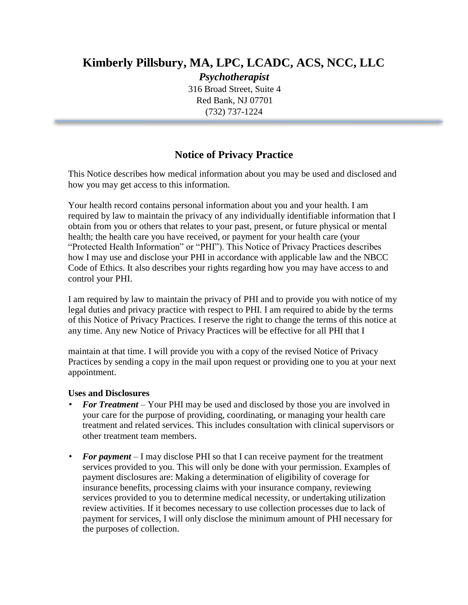## **Kimberly Pillsbury, MA, LPC, LCADC, ACS, NCC, LLC**

*Psychotherapist* 316 Broad Street, Suite 4 Red Bank, NJ 07701 (732) 737-1224

## **Notice of Privacy Practice**

This Notice describes how medical information about you may be used and disclosed and how you may get access to this information.

Your health record contains personal information about you and your health. I am required by law to maintain the privacy of any individually identifiable information that I obtain from you or others that relates to your past, present, or future physical or mental health; the health care you have received, or payment for your health care (your "Protected Health Information" or "PHI"). This Notice of Privacy Practices describes how I may use and disclose your PHI in accordance with applicable law and the NBCC Code of Ethics. It also describes your rights regarding how you may have access to and control your PHI.

I am required by law to maintain the privacy of PHI and to provide you with notice of my legal duties and privacy practice with respect to PHI. I am required to abide by the terms of this Notice of Privacy Practices. I reserve the right to change the terms of this notice at any time. Any new Notice of Privacy Practices will be effective for all PHI that I

maintain at that time. I will provide you with a copy of the revised Notice of Privacy Practices by sending a copy in the mail upon request or providing one to you at your next appointment.

## **Uses and Disclosures**

- *For Treatment* Your PHI may be used and disclosed by those you are involved in your care for the purpose of providing, coordinating, or managing your health care treatment and related services. This includes consultation with clinical supervisors or other treatment team members.
- **For payment** I may disclose PHI so that I can receive payment for the treatment services provided to you. This will only be done with your permission. Examples of payment disclosures are: Making a determination of eligibility of coverage for insurance benefits, processing claims with your insurance company, reviewing services provided to you to determine medical necessity, or undertaking utilization review activities. If it becomes necessary to use collection processes due to lack of payment for services, I will only disclose the minimum amount of PHI necessary for the purposes of collection.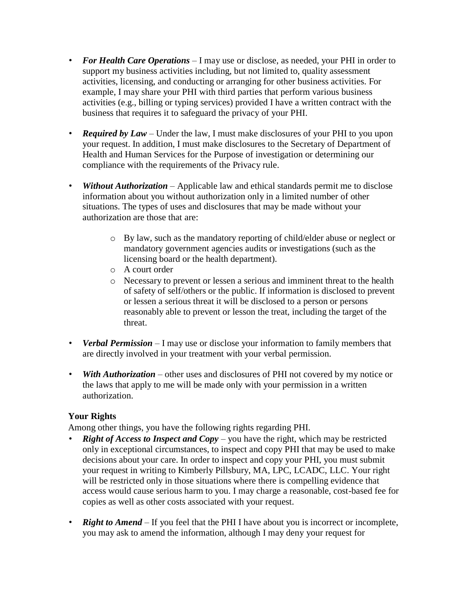- *For Health Care Operations* I may use or disclose, as needed, your PHI in order to support my business activities including, but not limited to, quality assessment activities, licensing, and conducting or arranging for other business activities. For example, I may share your PHI with third parties that perform various business activities (e.g., billing or typing services) provided I have a written contract with the business that requires it to safeguard the privacy of your PHI.
- *Required by Law* Under the law, I must make disclosures of your PHI to you upon your request. In addition, I must make disclosures to the Secretary of Department of Health and Human Services for the Purpose of investigation or determining our compliance with the requirements of the Privacy rule.
- *Without Authorization* Applicable law and ethical standards permit me to disclose information about you without authorization only in a limited number of other situations. The types of uses and disclosures that may be made without your authorization are those that are:
	- o By law, such as the mandatory reporting of child/elder abuse or neglect or mandatory government agencies audits or investigations (such as the licensing board or the health department).
	- o A court order
	- o Necessary to prevent or lessen a serious and imminent threat to the health of safety of self/others or the public. If information is disclosed to prevent or lessen a serious threat it will be disclosed to a person or persons reasonably able to prevent or lesson the treat, including the target of the threat.
- *Verbal Permission* I may use or disclose your information to family members that are directly involved in your treatment with your verbal permission.
- *With Authorization* other uses and disclosures of PHI not covered by my notice or the laws that apply to me will be made only with your permission in a written authorization.

## **Your Rights**

Among other things, you have the following rights regarding PHI.

- *Right of Access to Inspect and Copy* you have the right, which may be restricted only in exceptional circumstances, to inspect and copy PHI that may be used to make decisions about your care. In order to inspect and copy your PHI, you must submit your request in writing to Kimberly Pillsbury, MA, LPC, LCADC, LLC. Your right will be restricted only in those situations where there is compelling evidence that access would cause serious harm to you. I may charge a reasonable, cost-based fee for copies as well as other costs associated with your request.
- **Right to Amend** If you feel that the PHI I have about you is incorrect or incomplete, you may ask to amend the information, although I may deny your request for